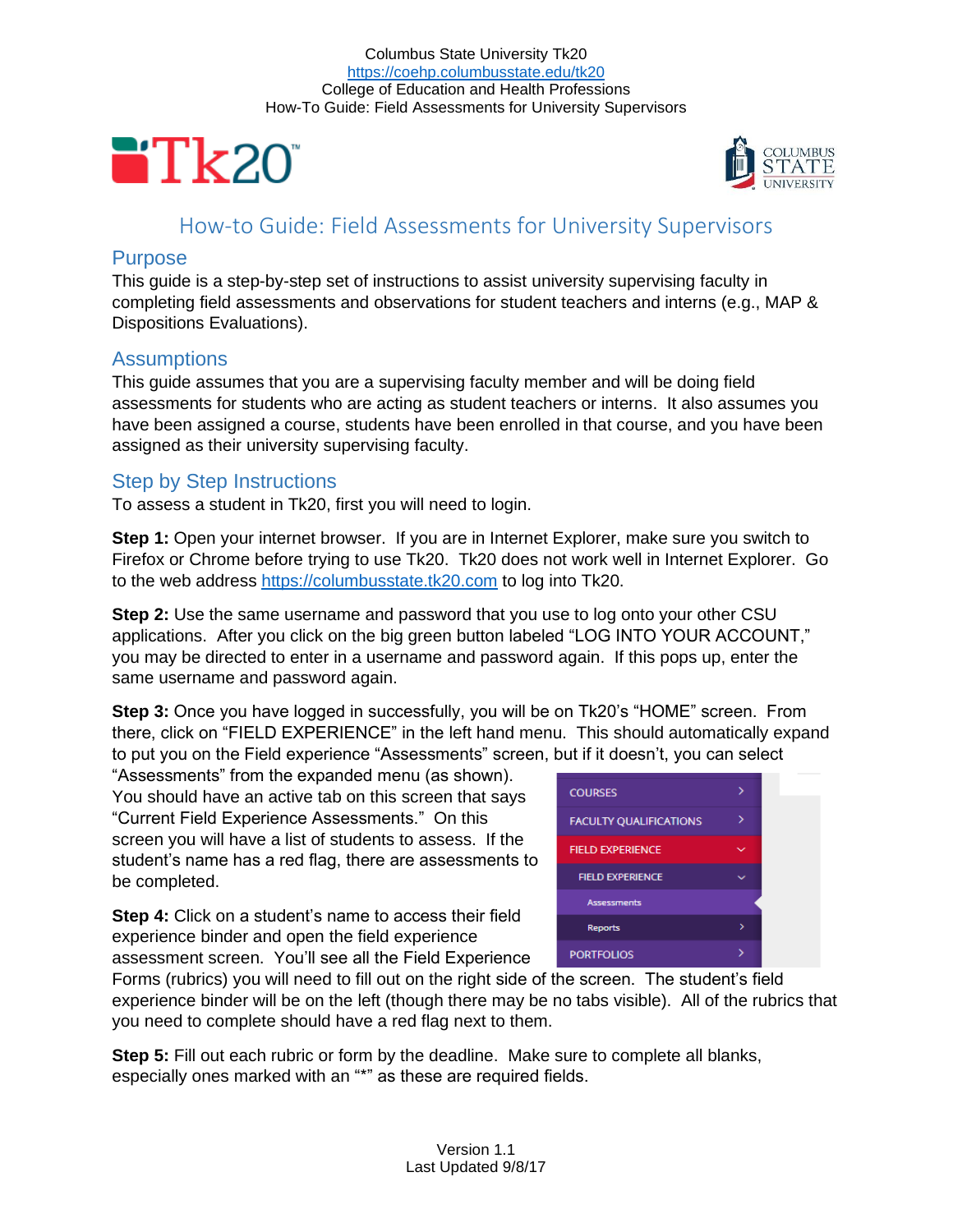



# How-to Guide: Field Assessments for University Supervisors

# **Purpose**

This guide is a step-by-step set of instructions to assist university supervising faculty in completing field assessments and observations for student teachers and interns (e.g., MAP & Dispositions Evaluations).

# **Assumptions**

This guide assumes that you are a supervising faculty member and will be doing field assessments for students who are acting as student teachers or interns. It also assumes you have been assigned a course, students have been enrolled in that course, and you have been assigned as their university supervising faculty.

# Step by Step Instructions

To assess a student in Tk20, first you will need to login.

**Step 1:** Open your internet browser. If you are in Internet Explorer, make sure you switch to Firefox or Chrome before trying to use Tk20. Tk20 does not work well in Internet Explorer. Go to the web address [https://columbusstate.tk20.com](https://columbusstate.tk20.com/) to log into Tk20.

**Step 2:** Use the same username and password that you use to log onto your other CSU applications. After you click on the big green button labeled "LOG INTO YOUR ACCOUNT," you may be directed to enter in a username and password again. If this pops up, enter the same username and password again.

**Step 3:** Once you have logged in successfully, you will be on Tk20's "HOME" screen. From there, click on "FIELD EXPERIENCE" in the left hand menu. This should automatically expand to put you on the Field experience "Assessments" screen, but if it doesn't, you can select

"Assessments" from the expanded menu (as shown). You should have an active tab on this screen that says "Current Field Experience Assessments." On this screen you will have a list of students to assess. If the student's name has a red flag, there are assessments to be completed.

**Step 4:** Click on a student's name to access their field experience binder and open the field experience assessment screen. You'll see all the Field Experience

| <b>COURSES</b>                |   |  |
|-------------------------------|---|--|
| <b>FACULTY QUALIFICATIONS</b> |   |  |
| <b>FIELD EXPERIENCE</b>       |   |  |
| <b>FIELD EXPERIENCE</b>       |   |  |
| <b>Assessments</b>            |   |  |
| <b>Reports</b>                | ⋟ |  |
| <b>PORTFOLIOS</b>             |   |  |

Forms (rubrics) you will need to fill out on the right side of the screen. The student's field experience binder will be on the left (though there may be no tabs visible). All of the rubrics that you need to complete should have a red flag next to them.

**Step 5:** Fill out each rubric or form by the deadline. Make sure to complete all blanks, especially ones marked with an "\*" as these are required fields.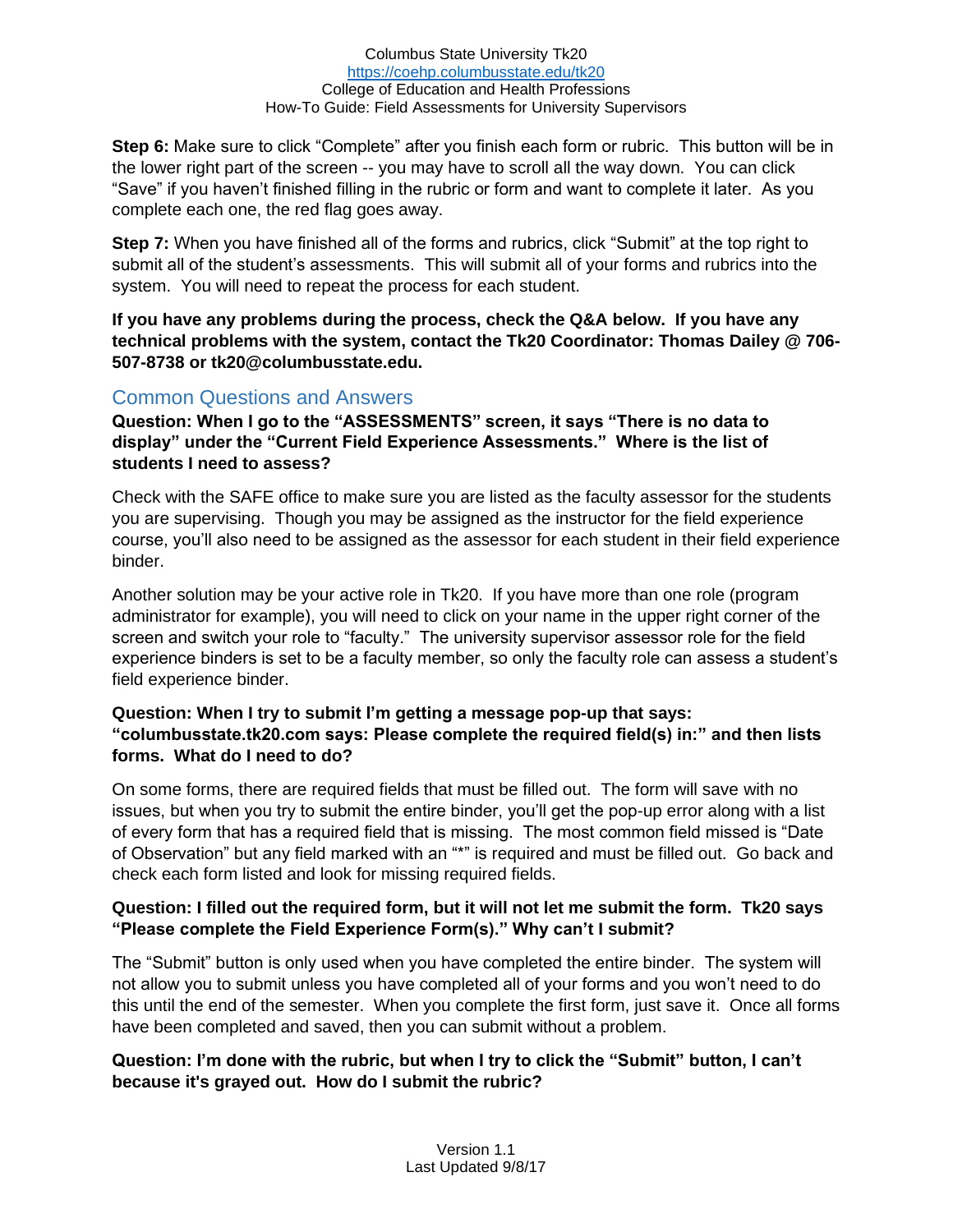#### Columbus State University Tk20 <https://coehp.columbusstate.edu/tk20> College of Education and Health Professions How-To Guide: Field Assessments for University Supervisors

**Step 6:** Make sure to click "Complete" after you finish each form or rubric. This button will be in the lower right part of the screen -- you may have to scroll all the way down. You can click "Save" if you haven't finished filling in the rubric or form and want to complete it later. As you complete each one, the red flag goes away.

**Step 7:** When you have finished all of the forms and rubrics, click "Submit" at the top right to submit all of the student's assessments. This will submit all of your forms and rubrics into the system. You will need to repeat the process for each student.

**If you have any problems during the process, check the Q&A below. If you have any technical problems with the system, contact the Tk20 Coordinator: Thomas Dailey @ 706- 507-8738 or tk20@columbusstate.edu.**

# Common Questions and Answers

**Question: When I go to the "ASSESSMENTS" screen, it says "There is no data to display" under the "Current Field Experience Assessments." Where is the list of students I need to assess?**

Check with the SAFE office to make sure you are listed as the faculty assessor for the students you are supervising. Though you may be assigned as the instructor for the field experience course, you'll also need to be assigned as the assessor for each student in their field experience binder.

Another solution may be your active role in Tk20. If you have more than one role (program administrator for example), you will need to click on your name in the upper right corner of the screen and switch your role to "faculty." The university supervisor assessor role for the field experience binders is set to be a faculty member, so only the faculty role can assess a student's field experience binder.

### **Question: When I try to submit I'm getting a message pop-up that says: "columbusstate.tk20.com says: Please complete the required field(s) in:" and then lists forms. What do I need to do?**

On some forms, there are required fields that must be filled out. The form will save with no issues, but when you try to submit the entire binder, you'll get the pop-up error along with a list of every form that has a required field that is missing. The most common field missed is "Date of Observation" but any field marked with an "\*" is required and must be filled out. Go back and check each form listed and look for missing required fields.

## **Question: I filled out the required form, but it will not let me submit the form. Tk20 says "Please complete the Field Experience Form(s)." Why can't I submit?**

The "Submit" button is only used when you have completed the entire binder. The system will not allow you to submit unless you have completed all of your forms and you won't need to do this until the end of the semester. When you complete the first form, just save it. Once all forms have been completed and saved, then you can submit without a problem.

## **Question: I'm done with the rubric, but when I try to click the "Submit" button, I can't because it's grayed out. How do I submit the rubric?**